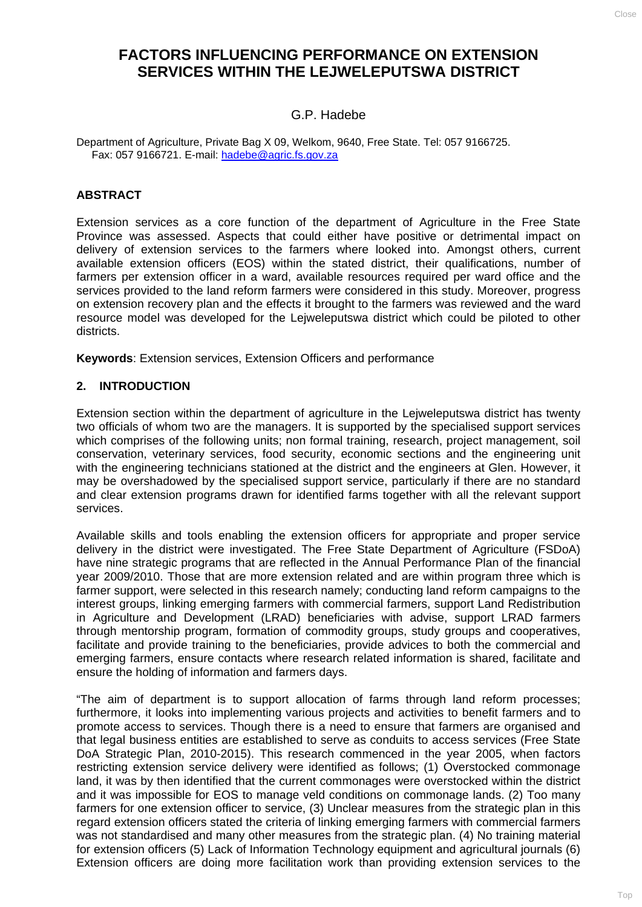# **FACTORS INFLUENCING PERFORMANCE ON EXTENSION SERVICES WITHIN THE LEJWELEPUTSWA DISTRICT**

### G.P. Hadebe

Department of Agriculture, Private Bag X 09, Welkom, 9640, Free State. Tel: 057 9166725. Fax: 057 9166721. E-mail: [hadebe@agric.fs.gov.za](mailto:hadebe@agric.fs.gov.za)

### **ABSTRACT**

Extension services as a core function of the department of Agriculture in the Free State Province was assessed. Aspects that could either have positive or detrimental impact on delivery of extension services to the farmers where looked into. Amongst others, current available extension officers (EOS) within the stated district, their qualifications, number of farmers per extension officer in a ward, available resources required per ward office and the services provided to the land reform farmers were considered in this study. Moreover, progress on extension recovery plan and the effects it brought to the farmers was reviewed and the ward resource model was developed for the Lejweleputswa district which could be piloted to other districts.

**Keywords**: Extension services, Extension Officers and performance

#### **2. INTRODUCTION**

Extension section within the department of agriculture in the Lejweleputswa district has twenty two officials of whom two are the managers. It is supported by the specialised support services which comprises of the following units; non formal training, research, project management, soil conservation, veterinary services, food security, economic sections and the engineering unit with the engineering technicians stationed at the district and the engineers at Glen. However, it may be overshadowed by the specialised support service, particularly if there are no standard and clear extension programs drawn for identified farms together with all the relevant support services.

Available skills and tools enabling the extension officers for appropriate and proper service delivery in the district were investigated. The Free State Department of Agriculture (FSDoA) have nine strategic programs that are reflected in the Annual Performance Plan of the financial year 2009/2010. Those that are more extension related and are within program three which is farmer support, were selected in this research namely; conducting land reform campaigns to the interest groups, linking emerging farmers with commercial farmers, support Land Redistribution in Agriculture and Development (LRAD) beneficiaries with advise, support LRAD farmers through mentorship program, formation of commodity groups, study groups and cooperatives, facilitate and provide training to the beneficiaries, provide advices to both the commercial and emerging farmers, ensure contacts where research related information is shared, facilitate and ensure the holding of information and farmers days.

"The aim of department is to support allocation of farms through land reform processes; furthermore, it looks into implementing various projects and activities to benefit farmers and to promote access to services. Though there is a need to ensure that farmers are organised and that legal business entities are established to serve as conduits to access services (Free State DoA Strategic Plan, 2010-2015). This research commenced in the year 2005, when factors restricting extension service delivery were identified as follows; (1) Overstocked commonage land, it was by then identified that the current commonages were overstocked within the district and it was impossible for EOS to manage veld conditions on commonage lands. (2) Too many farmers for one extension officer to service, (3) Unclear measures from the strategic plan in this regard extension officers stated the criteria of linking emerging farmers with commercial farmers was not standardised and many other measures from the strategic plan. (4) No training material for extension officers (5) Lack of Information Technology equipment and agricultural journals (6) Extension officers are doing more facilitation work than providing extension services to the

CLOSE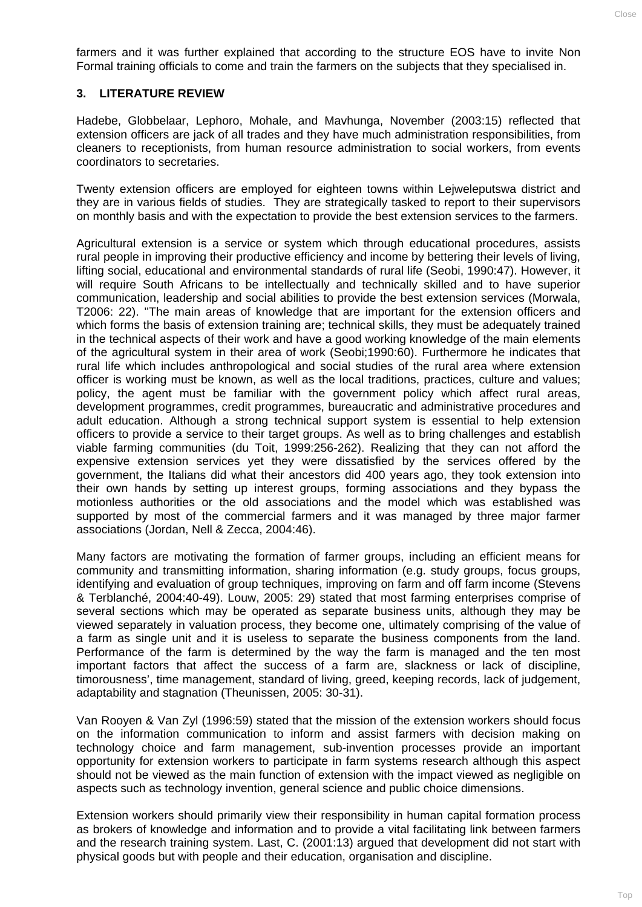farmers and it was further explained that according to the structure EOS have to invite Non Formal training officials to come and train the farmers on the subjects that they specialised in.

#### **3. LITERATURE REVIEW**

Hadebe, Globbelaar, Lephoro, Mohale, and Mavhunga, November (2003:15) reflected that extension officers are jack of all trades and they have much administration responsibilities, from cleaners to receptionists, from human resource administration to social workers, from events coordinators to secretaries.

Twenty extension officers are employed for eighteen towns within Lejweleputswa district and they are in various fields of studies. They are strategically tasked to report to their supervisors on monthly basis and with the expectation to provide the best extension services to the farmers.

Agricultural extension is a service or system which through educational procedures, assists rural people in improving their productive efficiency and income by bettering their levels of living, lifting social, educational and environmental standards of rural life (Seobi, 1990:47). However, it will require South Africans to be intellectually and technically skilled and to have superior communication, leadership and social abilities to provide the best extension services (Morwala, T2006: 22). ''The main areas of knowledge that are important for the extension officers and which forms the basis of extension training are; technical skills, they must be adequately trained in the technical aspects of their work and have a good working knowledge of the main elements of the agricultural system in their area of work (Seobi;1990:60). Furthermore he indicates that rural life which includes anthropological and social studies of the rural area where extension officer is working must be known, as well as the local traditions, practices, culture and values; policy, the agent must be familiar with the government policy which affect rural areas, development programmes, credit programmes, bureaucratic and administrative procedures and adult education. Although a strong technical support system is essential to help extension officers to provide a service to their target groups. As well as to bring challenges and establish viable farming communities (du Toit, 1999:256-262). Realizing that they can not afford the expensive extension services yet they were dissatisfied by the services offered by the government, the Italians did what their ancestors did 400 years ago, they took extension into their own hands by setting up interest groups, forming associations and they bypass the motionless authorities or the old associations and the model which was established was supported by most of the commercial farmers and it was managed by three major farmer associations (Jordan, Nell & Zecca, 2004:46).

Many factors are motivating the formation of farmer groups, including an efficient means for community and transmitting information, sharing information (e.g. study groups, focus groups, identifying and evaluation of group techniques, improving on farm and off farm income (Stevens & Terblanché, 2004:40-49). Louw, 2005: 29) stated that most farming enterprises comprise of several sections which may be operated as separate business units, although they may be viewed separately in valuation process, they become one, ultimately comprising of the value of a farm as single unit and it is useless to separate the business components from the land. Performance of the farm is determined by the way the farm is managed and the ten most important factors that affect the success of a farm are, slackness or lack of discipline, timorousness', time management, standard of living, greed, keeping records, lack of judgement, adaptability and stagnation (Theunissen, 2005: 30-31).

Van Rooyen & Van Zyl (1996:59) stated that the mission of the extension workers should focus on the information communication to inform and assist farmers with decision making on technology choice and farm management, sub-invention processes provide an important opportunity for extension workers to participate in farm systems research although this aspect should not be viewed as the main function of extension with the impact viewed as negligible on aspects such as technology invention, general science and public choice dimensions.

Extension workers should primarily view their responsibility in human capital formation process as brokers of knowledge and information and to provide a vital facilitating link between farmers and the research training system. Last, C. (2001:13) argued that development did not start with physical goods but with people and their education, organisation and discipline.

CLOSE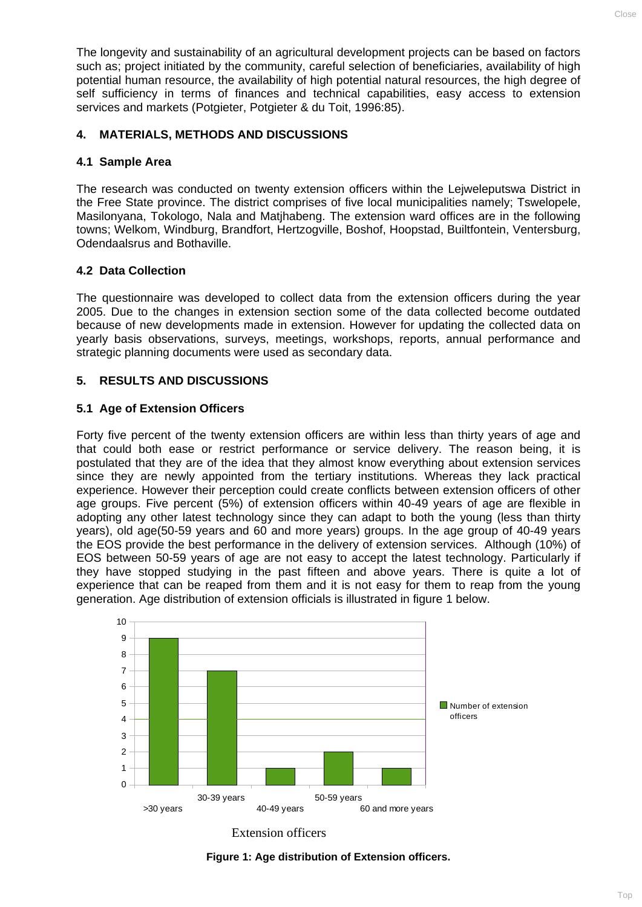The longevity and sustainability of an agricultural development projects can be based on factors such as; project initiated by the community, careful selection of beneficiaries, availability of high potential human resource, the availability of high potential natural resources, the high degree of self sufficiency in terms of finances and technical capabilities, easy access to extension services and markets (Potgieter, Potgieter & du Toit, 1996:85).

# **4. MATERIALS, METHODS AND DISCUSSIONS**

## **4.1 Sample Area**

The research was conducted on twenty extension officers within the Lejweleputswa District in the Free State province. The district comprises of five local municipalities namely; Tswelopele, Masilonyana, Tokologo, Nala and Matjhabeng. The extension ward offices are in the following towns; Welkom, Windburg, Brandfort, Hertzogville, Boshof, Hoopstad, Builtfontein, Ventersburg, Odendaalsrus and Bothaville.

# **4.2 Data Collection**

The questionnaire was developed to collect data from the extension officers during the year 2005. Due to the changes in extension section some of the data collected become outdated because of new developments made in extension. However for updating the collected data on yearly basis observations, surveys, meetings, workshops, reports, annual performance and strategic planning documents were used as secondary data.

# **5. RESULTS AND DISCUSSIONS**

### **5.1 Age of Extension Officers**

Forty five percent of the twenty extension officers are within less than thirty years of age and that could both ease or restrict performance or service delivery. The reason being, it is postulated that they are of the idea that they almost know everything about extension services since they are newly appointed from the tertiary institutions. Whereas they lack practical experience. However their perception could create conflicts between extension officers of other age groups. Five percent (5%) of extension officers within 40-49 years of age are flexible in adopting any other latest technology since they can adapt to both the young (less than thirty years), old age(50-59 years and 60 and more years) groups. In the age group of 40-49 years the EOS provide the best performance in the delivery of extension services. Although (10%) of EOS between 50-59 years of age are not easy to accept the latest technology. Particularly if they have stopped studying in the past fifteen and above years. There is quite a lot of experience that can be reaped from them and it is not easy for them to reap from the young generation. Age distribution of extension officials is illustrated in figure 1 below.





**Figure 1: Age distribution of Extension officers.**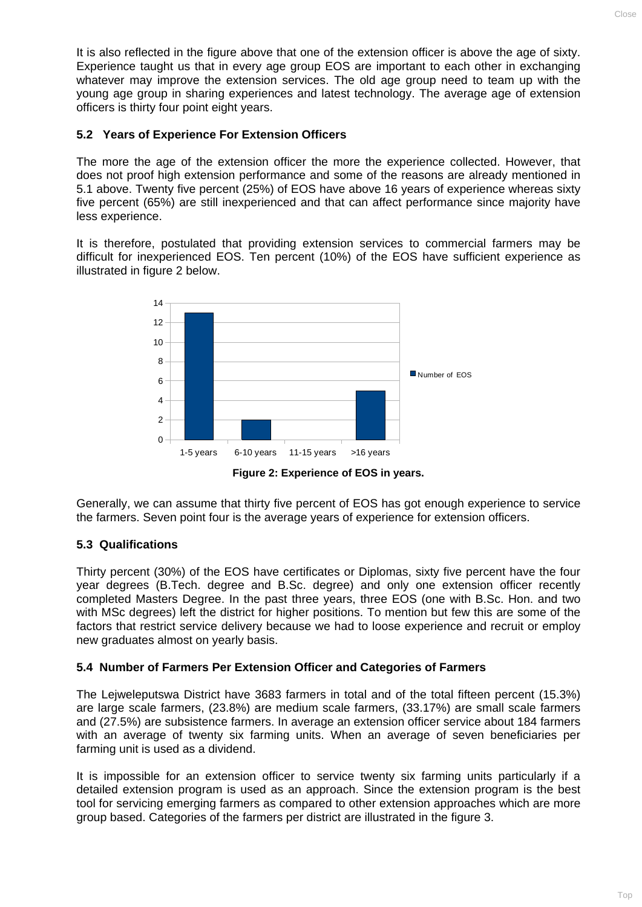It is also reflected in the figure above that one of the extension officer is above the age of sixty. Experience taught us that in every age group EOS are important to each other in exchanging whatever may improve the extension services. The old age group need to team up with the young age group in sharing experiences and latest technology. The average age of extension officers is thirty four point eight years.

# **5.2 Years of Experience For Extension Officers**

The more the age of the extension officer the more the experience collected. However, that does not proof high extension performance and some of the reasons are already mentioned in 5.1 above. Twenty five percent (25%) of EOS have above 16 years of experience whereas sixty five percent (65%) are still inexperienced and that can affect performance since majority have less experience.

It is therefore, postulated that providing extension services to commercial farmers may be difficult for inexperienced EOS. Ten percent (10%) of the EOS have sufficient experience as illustrated in figure 2 below.



**Figure 2: Experience of EOS in years.** 

Generally, we can assume that thirty five percent of EOS has got enough experience to service the farmers. Seven point four is the average years of experience for extension officers.

# **5.3 Qualifications**

Thirty percent (30%) of the EOS have certificates or Diplomas, sixty five percent have the four year degrees (B.Tech. degree and B.Sc. degree) and only one extension officer recently completed Masters Degree. In the past three years, three EOS (one with B.Sc. Hon. and two with MSc degrees) left the district for higher positions. To mention but few this are some of the factors that restrict service delivery because we had to loose experience and recruit or employ new graduates almost on yearly basis.

# **5.4 Number of Farmers Per Extension Officer and Categories of Farmers**

The Lejweleputswa District have 3683 farmers in total and of the total fifteen percent (15.3%) are large scale farmers, (23.8%) are medium scale farmers, (33.17%) are small scale farmers and (27.5%) are subsistence farmers. In average an extension officer service about 184 farmers with an average of twenty six farming units. When an average of seven beneficiaries per farming unit is used as a dividend.

It is impossible for an extension officer to service twenty six farming units particularly if a detailed extension program is used as an approach. Since the extension program is the best tool for servicing emerging farmers as compared to other extension approaches which are more group based. Categories of the farmers per district are illustrated in the figure 3.

 $C\log P$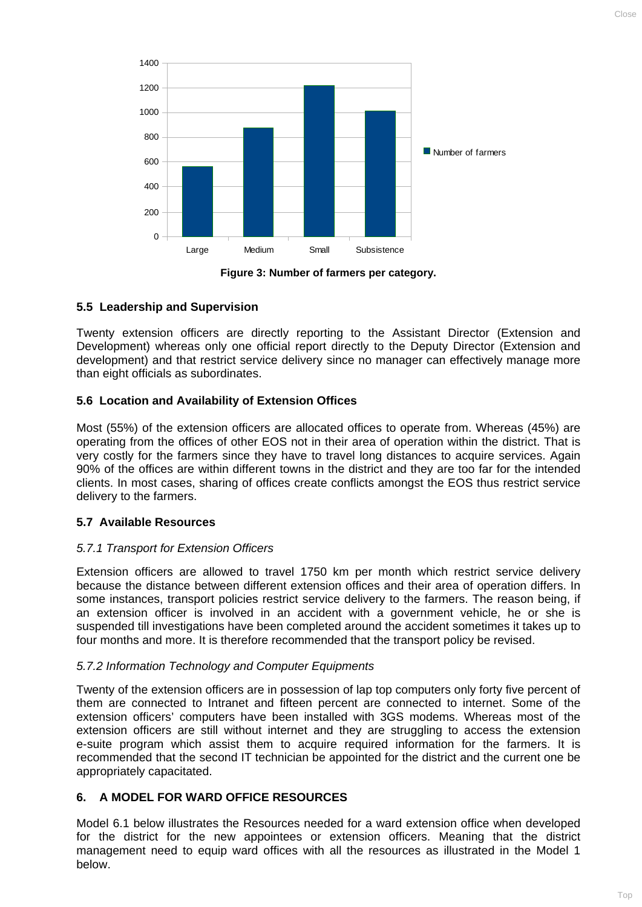Large Medium Small Subsistence 0 200 400  $600$ 800 1000 1200 1400 Number of farmers

**Figure 3: Number of farmers per category.** 

# **5.5 Leadership and Supervision**

Twenty extension officers are directly reporting to the Assistant Director (Extension and Development) whereas only one official report directly to the Deputy Director (Extension and development) and that restrict service delivery since no manager can effectively manage more than eight officials as subordinates.

# **5.6 Location and Availability of Extension Offices**

Most (55%) of the extension officers are allocated offices to operate from. Whereas (45%) are operating from the offices of other EOS not in their area of operation within the district. That is very costly for the farmers since they have to travel long distances to acquire services. Again 90% of the offices are within different towns in the district and they are too far for the intended clients. In most cases, sharing of offices create conflicts amongst the EOS thus restrict service delivery to the farmers.

# **5.7 Available Resources**

### *5.7.1 Transport for Extension Officers*

Extension officers are allowed to travel 1750 km per month which restrict service delivery because the distance between different extension offices and their area of operation differs. In some instances, transport policies restrict service delivery to the farmers. The reason being, if an extension officer is involved in an accident with a government vehicle, he or she is suspended till investigations have been completed around the accident sometimes it takes up to four months and more. It is therefore recommended that the transport policy be revised.

### *5.7.2 Information Technology and Computer Equipments*

Twenty of the extension officers are in possession of lap top computers only forty five percent of them are connected to Intranet and fifteen percent are connected to internet. Some of the extension officers' computers have been installed with 3GS modems. Whereas most of the extension officers are still without internet and they are struggling to access the extension e-suite program which assist them to acquire required information for the farmers. It is recommended that the second IT technician be appointed for the district and the current one be appropriately capacitated.

# **6. A MODEL FOR WARD OFFICE RESOURCES**

Model 6.1 below illustrates the Resources needed for a ward extension office when developed for the district for the new appointees or extension officers. Meaning that the district management need to equip ward offices with all the resources as illustrated in the Model 1 below.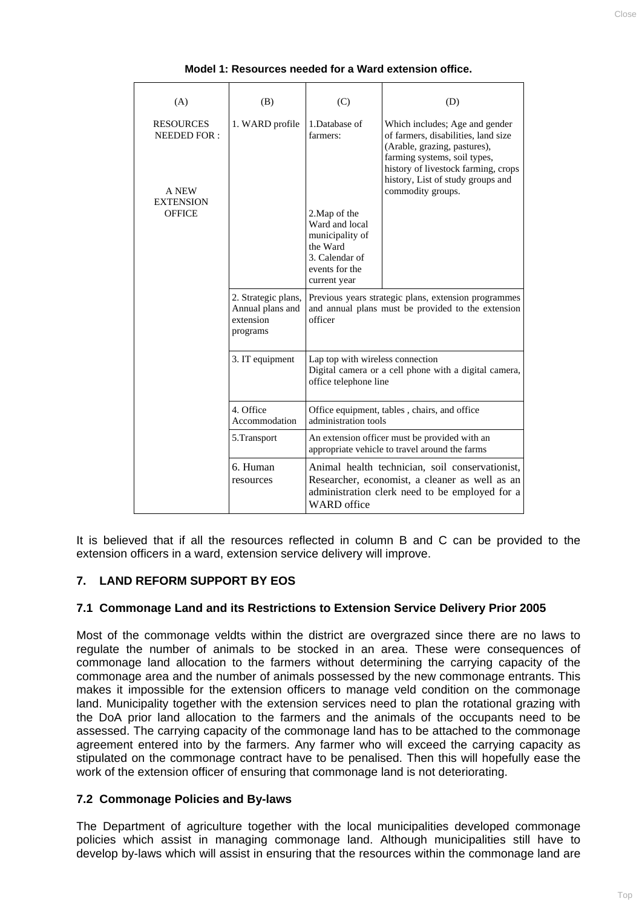| (A)                                                                                  | (B)                                                              | (C)                                                                                                                                                                       | (D)                                                                                                                                                                                                                                    |
|--------------------------------------------------------------------------------------|------------------------------------------------------------------|---------------------------------------------------------------------------------------------------------------------------------------------------------------------------|----------------------------------------------------------------------------------------------------------------------------------------------------------------------------------------------------------------------------------------|
| <b>RESOURCES</b><br><b>NEEDED FOR:</b><br>A NEW<br><b>EXTENSION</b><br><b>OFFICE</b> | 1. WARD profile                                                  | 1.Database of<br>farmers:                                                                                                                                                 | Which includes; Age and gender<br>of farmers, disabilities, land size<br>(Arable, grazing, pastures),<br>farming systems, soil types,<br>history of livestock farming, crops<br>history, List of study groups and<br>commodity groups. |
|                                                                                      |                                                                  | 2. Map of the<br>Ward and local<br>municipality of<br>the Ward<br>3. Calendar of<br>events for the<br>current year                                                        |                                                                                                                                                                                                                                        |
|                                                                                      | 2. Strategic plans,<br>Annual plans and<br>extension<br>programs | Previous years strategic plans, extension programmes<br>and annual plans must be provided to the extension<br>officer                                                     |                                                                                                                                                                                                                                        |
|                                                                                      | 3. IT equipment                                                  | Lap top with wireless connection<br>Digital camera or a cell phone with a digital camera,<br>office telephone line                                                        |                                                                                                                                                                                                                                        |
|                                                                                      | 4. Office<br>Accommodation                                       | Office equipment, tables, chairs, and office<br>administration tools                                                                                                      |                                                                                                                                                                                                                                        |
|                                                                                      | 5.Transport                                                      | An extension officer must be provided with an<br>appropriate vehicle to travel around the farms                                                                           |                                                                                                                                                                                                                                        |
|                                                                                      | 6. Human<br>resources                                            | Animal health technician, soil conservationist,<br>Researcher, economist, a cleaner as well as an<br>administration clerk need to be employed for a<br><b>WARD</b> office |                                                                                                                                                                                                                                        |

**Model 1: Resources needed for a Ward extension office.** 

It is believed that if all the resources reflected in column B and C can be provided to the extension officers in a ward, extension service delivery will improve.

### **7. LAND REFORM SUPPORT BY EOS**

#### **7.1 Commonage Land and its Restrictions to Extension Service Delivery Prior 2005**

Most of the commonage veldts within the district are overgrazed since there are no laws to regulate the number of animals to be stocked in an area. These were consequences of commonage land allocation to the farmers without determining the carrying capacity of the commonage area and the number of animals possessed by the new commonage entrants. This makes it impossible for the extension officers to manage veld condition on the commonage land. Municipality together with the extension services need to plan the rotational grazing with the DoA prior land allocation to the farmers and the animals of the occupants need to be assessed. The carrying capacity of the commonage land has to be attached to the commonage agreement entered into by the farmers. Any farmer who will exceed the carrying capacity as stipulated on the commonage contract have to be penalised. Then this will hopefully ease the work of the extension officer of ensuring that commonage land is not deteriorating.

#### **7.2 Commonage Policies and By-laws**

The Department of agriculture together with the local municipalities developed commonage policies which assist in managing commonage land. Although municipalities still have to develop by-laws which will assist in ensuring that the resources within the commonage land are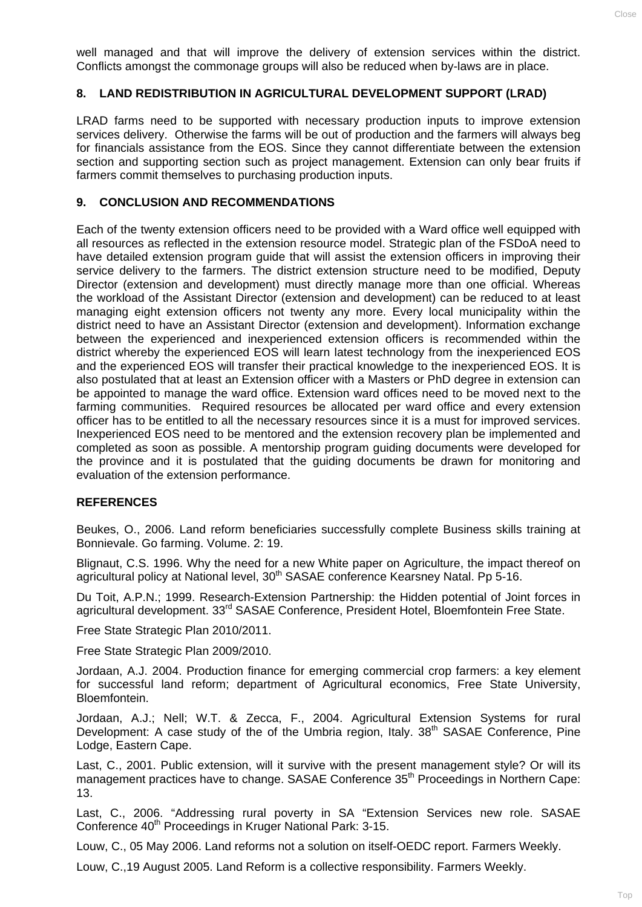well managed and that will improve the delivery of extension services within the district. Conflicts amongst the commonage groups will also be reduced when by-laws are in place.

#### **8. LAND REDISTRIBUTION IN AGRICULTURAL DEVELOPMENT SUPPORT (LRAD)**

LRAD farms need to be supported with necessary production inputs to improve extension services delivery. Otherwise the farms will be out of production and the farmers will always beg for financials assistance from the EOS. Since they cannot differentiate between the extension section and supporting section such as project management. Extension can only bear fruits if farmers commit themselves to purchasing production inputs.

#### **9. CONCLUSION AND RECOMMENDATIONS**

Each of the twenty extension officers need to be provided with a Ward office well equipped with all resources as reflected in the extension resource model. Strategic plan of the FSDoA need to have detailed extension program guide that will assist the extension officers in improving their service delivery to the farmers. The district extension structure need to be modified, Deputy Director (extension and development) must directly manage more than one official. Whereas the workload of the Assistant Director (extension and development) can be reduced to at least managing eight extension officers not twenty any more. Every local municipality within the district need to have an Assistant Director (extension and development). Information exchange between the experienced and inexperienced extension officers is recommended within the district whereby the experienced EOS will learn latest technology from the inexperienced EOS and the experienced EOS will transfer their practical knowledge to the inexperienced EOS. It is also postulated that at least an Extension officer with a Masters or PhD degree in extension can be appointed to manage the ward office. Extension ward offices need to be moved next to the farming communities. Required resources be allocated per ward office and every extension officer has to be entitled to all the necessary resources since it is a must for improved services. Inexperienced EOS need to be mentored and the extension recovery plan be implemented and completed as soon as possible. A mentorship program guiding documents were developed for the province and it is postulated that the guiding documents be drawn for monitoring and evaluation of the extension performance.

#### **REFERENCES**

Beukes, O., 2006. Land reform beneficiaries successfully complete Business skills training at Bonnievale. Go farming. Volume. 2: 19.

Blignaut, C.S. 1996. Why the need for a new White paper on Agriculture, the impact thereof on agricultural policy at National level, 30<sup>th</sup> SASAE conference Kearsney Natal. Pp 5-16.

Du Toit, A.P.N.; 1999. Research-Extension Partnership: the Hidden potential of Joint forces in agricultural development. 33rd SASAE Conference, President Hotel, Bloemfontein Free State.

Free State Strategic Plan 2010/2011.

Free State Strategic Plan 2009/2010.

Jordaan, A.J. 2004. Production finance for emerging commercial crop farmers: a key element for successful land reform; department of Agricultural economics, Free State University, Bloemfontein.

Jordaan, A.J.; Nell; W.T. & Zecca, F., 2004. Agricultural Extension Systems for rural Development: A case study of the of the Umbria region, Italy. 38<sup>th</sup> SASAE Conference, Pine Lodge, Eastern Cape.

Last, C., 2001. Public extension, will it survive with the present management style? Or will its management practices have to change. SASAE Conference 35<sup>th</sup> Proceedings in Northern Cape: 13.

Last, C., 2006. "Addressing rural poverty in SA "Extension Services new role. SASAE Conference 40<sup>th</sup> Proceedings in Kruger National Park: 3-15.

Louw, C., 05 May 2006. Land reforms not a solution on itself-OEDC report. Farmers Weekly.

Louw, C.,19 August 2005. Land Reform is a collective responsibility. Farmers Weekly.

CLOSE